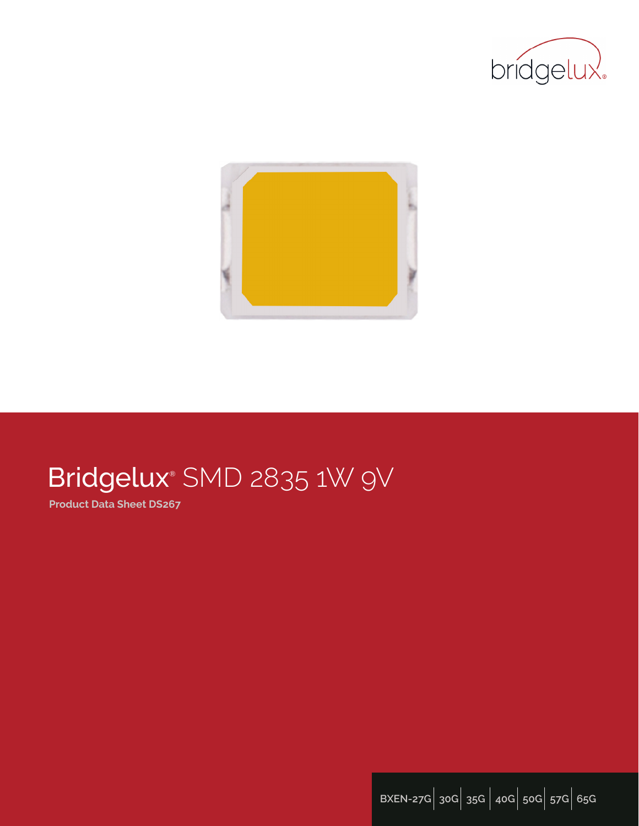



# Bridgelux® SMD 2835 1W 9V

**Product Data Sheet DS267**

**BXEN-27G**| **30G**| **35G** | **40G**| **50G**| **57G**| **65G**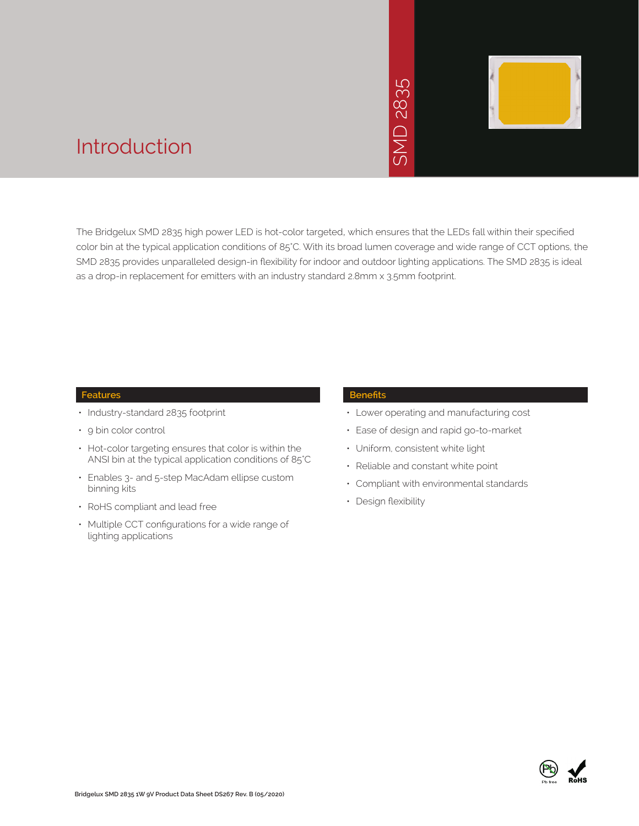

### Introduction

The Bridgelux SMD 2835 high power LED is hot-color targeted, which ensures that the LEDs fall within their specified color bin at the typical application conditions of 85°C. With its broad lumen coverage and wide range of CCT options, the SMD 2835 provides unparalleled design-in flexibility for indoor and outdoor lighting applications. The SMD 2835 is ideal as a drop-in replacement for emitters with an industry standard 2.8mm x 3.5mm footprint.<br>The Bridgelux SMD 2835 high power LED is hot-color targeted, which ensures that the LE<br>Color bin at the typical application condition

#### **Features**

- Industry-standard 2835 footprint
- 9 bin color control
- Hot-color targeting ensures that color is within the ANSI bin at the typical application conditions of 85°C
- Enables 3- and 5-step MacAdam ellipse custom binning kits
- RoHS compliant and lead free
- Multiple CCT configurations for a wide range of lighting applications

#### **Benefits**

- Lower operating and manufacturing cost
- Ease of design and rapid go-to-market
- Uniform, consistent white light
- Reliable and constant white point
- Compliant with environmental standards
- Design flexibility

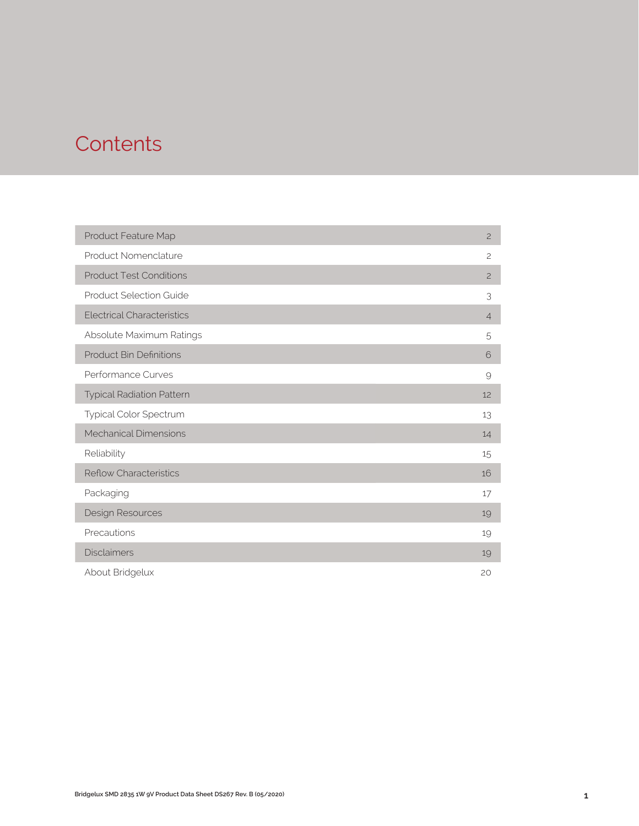## **Contents**

| Product Feature Map               | $\mathbf{2}$   |
|-----------------------------------|----------------|
| Product Nomenclature              | $\overline{c}$ |
| <b>Product Test Conditions</b>    | $\overline{c}$ |
| <b>Product Selection Guide</b>    | 3              |
| <b>Electrical Characteristics</b> | $\overline{4}$ |
| Absolute Maximum Ratings          | 5              |
| <b>Product Bin Definitions</b>    | 6              |
| Performance Curves                | 9              |
| <b>Typical Radiation Pattern</b>  | 12             |
| Typical Color Spectrum            | 13             |
| <b>Mechanical Dimensions</b>      | 14             |
| Reliability                       | 15             |
| <b>Reflow Characteristics</b>     | 16             |
| Packaging                         | 17             |
| Design Resources                  | 19             |
| Precautions                       | 19             |
| <b>Disclaimers</b>                | 19             |
| About Bridgelux                   | 20             |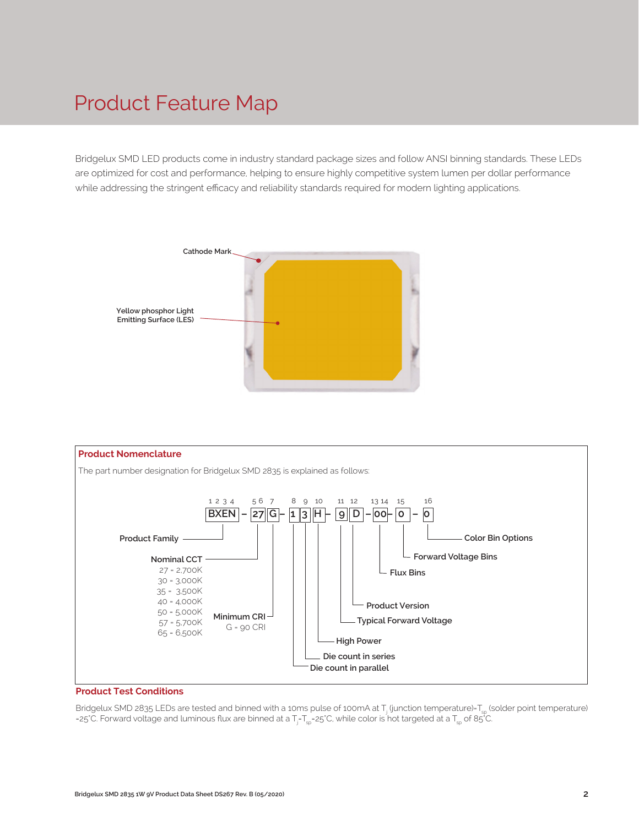### Product Feature Map

Bridgelux SMD LED products come in industry standard package sizes and follow ANSI binning standards. These LEDs are optimized for cost and performance, helping to ensure highly competitive system lumen per dollar performance while addressing the stringent efficacy and reliability standards required for modern lighting applications.





#### **Product Test Conditions**

Bridgelux SMD 2835 LEDs are tested and binned with a 10ms pulse of 100mA at T<sub>j</sub> (junction temperature)=T<sub>sp</sub> (solder point temperature) =25°C. Forward voltage and luminous flux are binned at a T<sub>j</sub>-T<sub>sp</sub>=25°C, while color is hot targeted at a T<sub>sp</sub> of 85°C.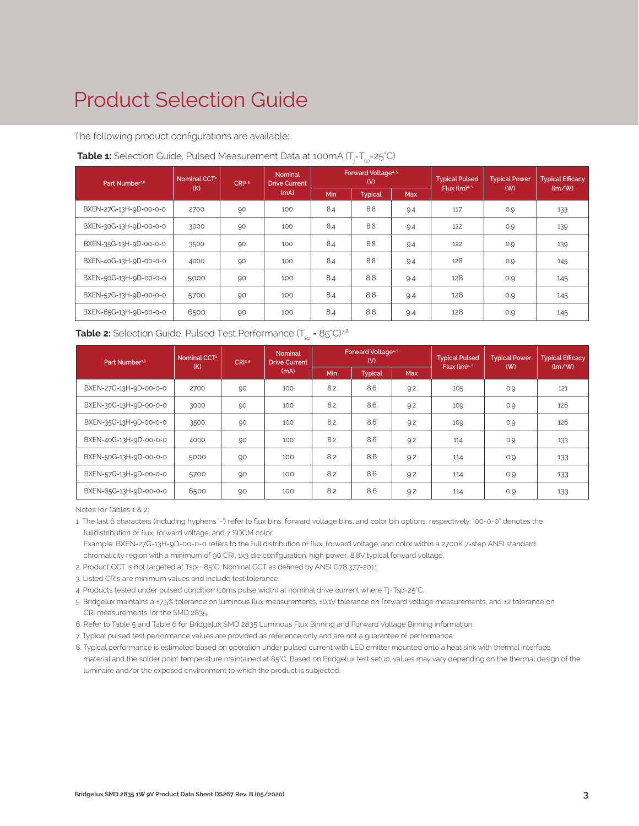# Product Selection Guide

The following product configurations are available:

| Part Number <sup>1,6</sup> | Nominal CCT <sup>2</sup> | CR <sup>3.5</sup> | <b>Nominal</b><br><b>Drive Current</b> |            | Forward Voltage <sup>4.5</sup><br>(V) | <b>Typical Pulsed</b><br><b>Typical Efficacy</b><br><b>Typical Power</b> |     | Flux $(lm)^{4.5}$<br>(W) |                                      |
|----------------------------|--------------------------|-------------------|----------------------------------------|------------|---------------------------------------|--------------------------------------------------------------------------|-----|--------------------------|--------------------------------------|
|                            | (K)                      |                   | (mA)                                   | <b>Min</b> | <b>Typical</b>                        | <b>Max</b>                                                               |     |                          | $\langle \text{Im}/\text{W} \rangle$ |
| BXEN-27G-13H-9D-00-0-0     | 2700                     | 90                | 100                                    | 8.4        | 8.8                                   | 9.4                                                                      | 117 | 0.9                      | 133                                  |
| BXEN-30G-13H-9D-00-0-0     | 3000                     | 90                | 100                                    | 8.4        | 8.8                                   | 9.4                                                                      | 122 | 0.9                      | 139                                  |
| BXEN-35G-13H-9D-00-0-0     | 3500                     | 90                | 100                                    | 8.4        | 8.8                                   | 9.4                                                                      | 122 | 0.9                      | 139                                  |
| BXEN-40G-13H-9D-00-0-0     | 4000                     | 90                | 100                                    | 8.4        | 8.8                                   | 9.4                                                                      | 128 | 0.9                      | 145                                  |
| BXEN-50G-13H-9D-00-0-0     | 5000                     | 90                | 100                                    | 8.4        | 8.8                                   | 9.4                                                                      | 128 | 0.9                      | 145                                  |
| BXEN-57G-13H-9D-00-0-0     | 5700                     | 90                | 100                                    | 8.4        | 8.8                                   | 9.4                                                                      | 128 | 0.9                      | 145                                  |
| BXEN-65G-13H-9D-00-0-0     | 6500                     | 90                | 100                                    | 8.4        | 8.8                                   | 9.4                                                                      | 128 | 0.9                      | 145                                  |

#### **Table 1:** Selection Guide, Pulsed Measurement Data at 100mA (T<sub>j</sub>=T<sub>sp</sub>=25°C)

| <b>Table 2:</b> Selection Guide, Pulsed Test Performance $(T_{\rm SD} = 85^{\circ}C)^{7,8}$ |  |
|---------------------------------------------------------------------------------------------|--|
|---------------------------------------------------------------------------------------------|--|

| Part Number <sup>1,6</sup> | Nominal CCT <sup>2</sup><br>(K) | CRI3-5 | <b>Nominal</b><br><b>Drive Current</b> |            | Forward Voltage <sup>4.5</sup><br>(V) |            | <b>Typical Pulsed</b> | <b>Typical Power</b><br>Flux $(lm)^{4.5}$<br>(W) |                                      |
|----------------------------|---------------------------------|--------|----------------------------------------|------------|---------------------------------------|------------|-----------------------|--------------------------------------------------|--------------------------------------|
|                            |                                 |        | (mA)                                   | <b>Min</b> | <b>Typical</b>                        | <b>Max</b> |                       |                                                  | $\langle \text{Im}/\text{W} \rangle$ |
| BXEN-27G-13H-9D-00-0-0     | 2700                            | 90     | 100                                    | 8.2        | 8.6                                   | 9.2        | 105                   | 0.9                                              | 121                                  |
| BXEN-30G-13H-9D-00-0-0     | 3000                            | 90     | 100                                    | 8.2        | 8.6                                   | 9.2        | 109                   | 0.9                                              | 126                                  |
| BXEN-35G-13H-9D-00-0-0     | 3500                            | 90     | 100                                    | 8.2        | 8.6                                   | 9.2        | 109                   | 0.9                                              | 126                                  |
| BXEN-40G-13H-9D-00-0-0     | 4000                            | 90     | 100                                    | 8.2        | 8.6                                   | 9.2        | 114                   | 0.9                                              | 133                                  |
| BXEN-50G-13H-9D-00-0-0     | 5000                            | 90     | 100                                    | 8.2        | 8.6                                   | 9.2        | 114                   | 0.9                                              | 133                                  |
| BXEN-57G-13H-9D-00-0-0     | 5700                            | 90     | 100                                    | 8.2        | 8.6                                   | 9.2        | 114                   | 0.9                                              | 133                                  |
| BXEN-65G-13H-9D-00-0-0     | 6500                            | 90     | 100                                    | 8.2        | 8.6                                   | 9.2        | 114                   | 0.9                                              | 133                                  |

Notes for Tables 1 & 2:

1. The last 6 characters (including hyphens '-') refer to flux bins, forward voltage bins, and color bin options, respectively. "00-0-0" denotes the fulldistribution of flux, forward voltage, and 7 SDCM color.

 Example: BXEN-27G-13H-9D-00-0-0 refers to the full distribution of flux, forward voltage, and color within a 2700K 7-step ANSI standard chromaticity region with a minimum of 90 CRI, 1x3 die configuration, high power, 8.8V typical forward voltage.

- 2. Product CCT is hot targeted at Tsp = 85°C. Nominal CCT as defined by ANSI C78.377-2011.
- 3. Listed CRIs are minimum values and include test tolerance.
- 4. Products tested under pulsed condition (10ms pulse width) at nominal drive current where Tj=Tsp=25°C.
- 5. Bridgelux maintains a ±7.5% tolerance on luminous flux measurements, ±0.1V tolerance on forward voltage measurements, and ±2 tolerance on CRI measurements for the SMD 2835.
- 6. Refer to Table 5 and Table 6 for Bridgelux SMD 2835 Luminous Flux Binning and Forward Voltage Binning information.
- 7. Typical pulsed test performance values are provided as reference only and are not a guarantee of performance.
- 8. Typical performance is estimated based on operation under pulsed current with LED emitter mounted onto a heat sink with thermal interface material and the solder point temperature maintained at 85°C. Based on Bridgelux test setup, values may vary depending on the thermal design of the luminaire and/or the exposed environment to which the product is subjected.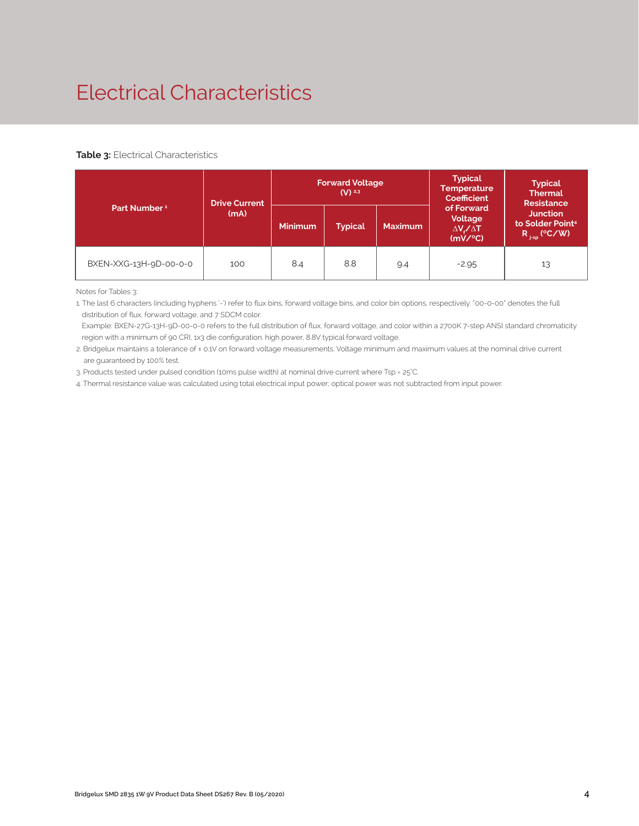# Electrical Characteristics

#### **Table 3: Electrical Characteristics**

|                          | <b>Drive Current</b> |                                                    | <b>Forward Voltage</b><br>$(V)$ <sup>2,3</sup> |                                                             | <b>Typical</b><br><b>Temperature</b><br>Coefficient                  | <b>Typical</b><br><b>Thermal</b><br><b>Resistance</b> |
|--------------------------|----------------------|----------------------------------------------------|------------------------------------------------|-------------------------------------------------------------|----------------------------------------------------------------------|-------------------------------------------------------|
| Part Number <sup>1</sup> | (mA)                 | <b>Minimum</b><br><b>Typical</b><br><b>Maximum</b> |                                                | of Forward<br>Voltage<br>$\Delta V \sim \Delta T$<br>(mV/C) | <b>Junction</b><br>to Solder Point <sup>4</sup><br>$R_{j-sp}$ (°C/W) |                                                       |
| BXEN-XXG-13H-9D-00-0-0   | 100                  | 8.4                                                | 8.8                                            | 9.4                                                         | $-2.95$                                                              | 13                                                    |

Notes for Tables 3:

1. The last 6 characters (including hyphens '-') refer to flux bins, forward voltage bins, and color bin options, respectively. "00-0-00" denotes the full distribution of flux, forward voltage, and 7 SDCM color.

 Example: BXEN-27G-13H-9D-00-0-0 refers to the full distribution of flux, forward voltage, and color within a 2700K 7-step ANSI standard chromaticity region with a minimum of 90 CRI, 1x3 die configuration, high power, 8.8V typical forward voltage.

2. Bridgelux maintains a tolerance of ± 0.1V on forward voltage measurements. Voltage minimum and maximum values at the nominal drive current are guaranteed by 100% test.

3. Products tested under pulsed condition (10ms pulse width) at nominal drive current where Tsp = 25°C.

4. Thermal resistance value was calculated using total electrical input power; optical power was not subtracted from input power.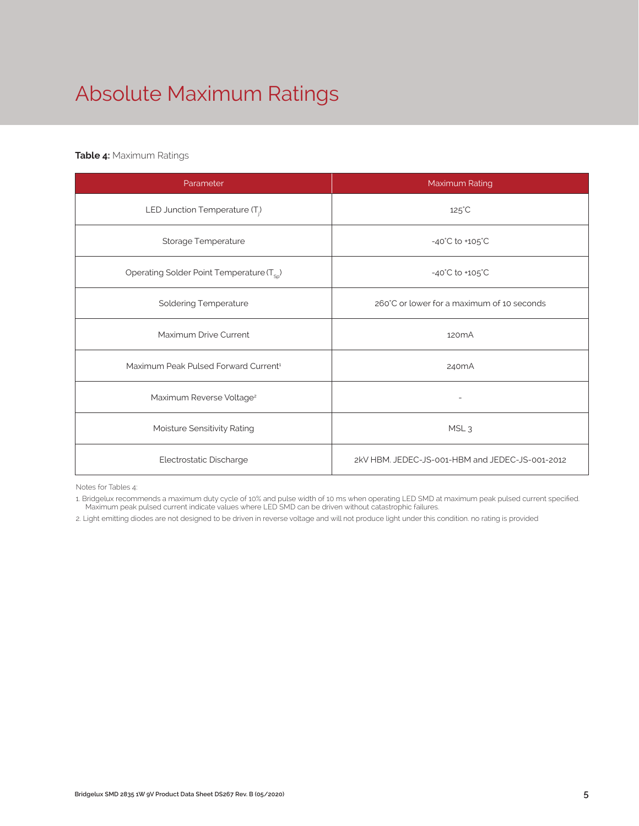# Absolute Maximum Ratings

#### **Table 4:** Maximum Ratings

| Parameter                                             | Maximum Rating                                  |  |  |  |
|-------------------------------------------------------|-------------------------------------------------|--|--|--|
| LED Junction Temperature $(T_i)$                      | $125^{\circ}$ C                                 |  |  |  |
| Storage Temperature                                   | $-40^{\circ}$ C to $+105^{\circ}$ C             |  |  |  |
| Operating Solder Point Temperature (T <sub>SD</sub> ) | $-40^{\circ}$ C to $+105^{\circ}$ C             |  |  |  |
| <b>Soldering Temperature</b>                          | 260°C or lower for a maximum of 10 seconds      |  |  |  |
| Maximum Drive Current                                 | 120 <sub>m</sub> A                              |  |  |  |
| Maximum Peak Pulsed Forward Current <sup>1</sup>      | 240 <sub>m</sub> A                              |  |  |  |
| Maximum Reverse Voltage <sup>2</sup>                  |                                                 |  |  |  |
| Moisture Sensitivity Rating                           | MSL <sub>3</sub>                                |  |  |  |
| Electrostatic Discharge                               | 2kV HBM. JEDEC-JS-001-HBM and JEDEC-JS-001-2012 |  |  |  |

Notes for Tables 4:

1. Bridgelux recommends a maximum duty cycle of 10% and pulse width of 10 ms when operating LED SMD at maximum peak pulsed current specified. Maximum peak pulsed current indicate values where LED SMD can be driven without catastrophic failures.

2. Light emitting diodes are not designed to be driven in reverse voltage and will not produce light under this condition. no rating is provided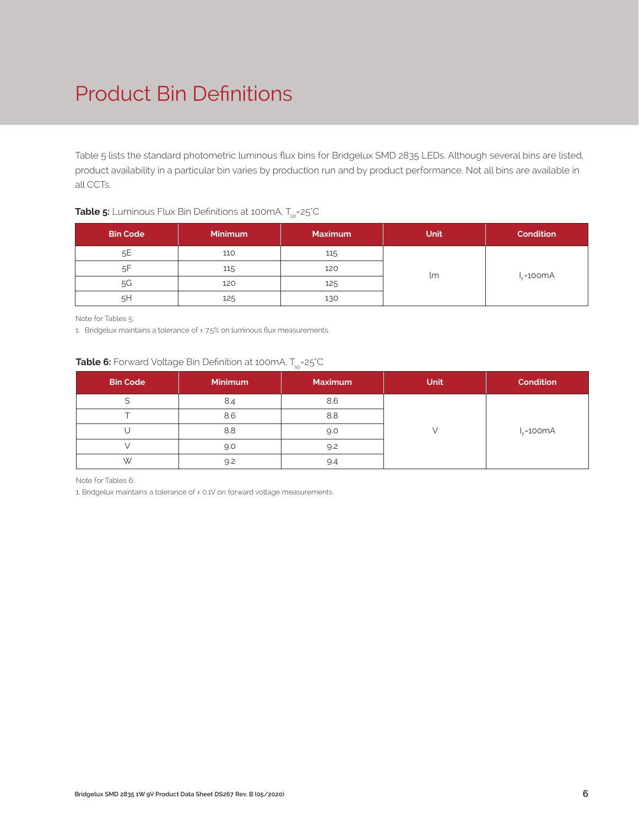# Product Bin Definitions

Table 5 lists the standard photometric luminous flux bins for Bridgelux SMD 2835 LEDs. Although several bins are listed, product availability in a particular bin varies by production run and by product performance. Not all bins are available in all CCTs.

| <b>Bin Code</b> | <b>Minimum</b> | <b>Maximum</b> | Unit | <b>Condition</b> |
|-----------------|----------------|----------------|------|------------------|
|                 |                |                |      |                  |
| 5E              | 110            | 115            |      |                  |
| .5F             | 115            | 120            |      |                  |
| 5G              | 120            | 125            | lm   | $I_r = 100mA$    |
| 5H              | 125            | 130            |      |                  |

#### **Table 5:** Luminous Flux Bin Definitions at 100mA, T<sub>sp</sub>=25°C

Note for Tables 5:

1. Bridgelux maintains a tolerance of ±7.5% on luminous flux measurements.

### **Table 6:** Forward Voltage Bin Definition at 100mA, T<sub>sp</sub>=25°C

| <b>Bin Code</b> | <b>Minimum</b> | <b>Maximum</b> | Unit | <b>Condition</b> |
|-----------------|----------------|----------------|------|------------------|
|                 | 8.4            | 8.6            |      |                  |
|                 | 8.6            | 8.8            |      |                  |
|                 | 8.8            | 9.0            |      | $I_c = 100mA$    |
|                 | 9.0            | 9.2            |      |                  |
| W               | 9.2            | 9.4            |      |                  |

Note for Tables 6:

1. Bridgelux maintains a tolerance of ± 0.1V on forward voltage measurements.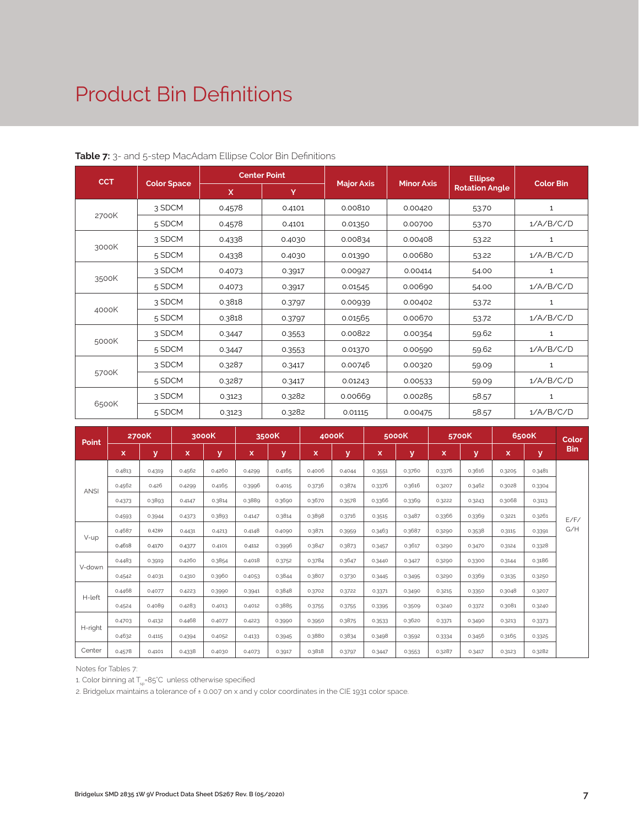### Product Bin Definitions

| <b>CCT</b> |                    |        | <b>Center Point</b> |                   |                   | <b>Ellipse</b>        | Color Bin    |  |
|------------|--------------------|--------|---------------------|-------------------|-------------------|-----------------------|--------------|--|
|            | <b>Color Space</b> | X      | Y                   | <b>Major Axis</b> | <b>Minor Axis</b> | <b>Rotation Angle</b> |              |  |
|            | 3 SDCM             | 0.4578 | 0.4101              | 0.00810           | 0.00420           | 53.70                 | $\mathbf{1}$ |  |
| 2700K      | 5 SDCM             | 0.4578 | 0.4101              | 0.01350           | 0.00700           | 53.70                 | 1/A/B/C/D    |  |
|            | 3 SDCM             | 0.4338 | 0.4030              | 0.00834           | 0.00408           | 53.22                 | $\mathbf{1}$ |  |
| 3000K      | 5 SDCM             | 0.4338 | 0.4030              | 0.01390           | 0.00680           | 53.22                 | 1/A/B/C/D    |  |
|            | 3 SDCM             | 0.4073 | 0.3917              | 0.00927           | 0.00414           | 54.00                 | 1            |  |
| 3500K      | 5 SDCM             | 0.4073 | 0.3917              | 0.01545           | 0.00690           | 54.00                 | 1/A/B/C/D    |  |
|            | 3 SDCM             | 0.3818 | 0.3797              | 0.00939           | 0.00402           | 53.72                 | $\mathbf{1}$ |  |
| 4000K      | 5 SDCM             | 0.3818 | 0.3797              | 0.01565           | 0.00670           | 53.72                 | 1/A/B/C/D    |  |
|            | 3 SDCM             | 0.3447 | 0.3553              | 0.00822           | 0.00354           | 59.62                 | 1            |  |
| 5000K      | 5 SDCM             | 0.3447 | 0.3553              | 0.01370           | 0.00590           | 59.62                 | 1/A/B/C/D    |  |
|            | 3 SDCM             | 0.3287 | 0.3417              | 0.00746           | 0.00320           | 59.09                 | $\mathbf{1}$ |  |
| 5700K      | 5 SDCM             | 0.3287 | 0.3417              | 0.01243           | 0.00533           | 59.09                 | 1/A/B/C/D    |  |
|            | 3 SDCM             | 0.3123 | 0.3282              | 0.00669           | 0.00285           | 58.57                 | $\mathbf{1}$ |  |
| 6500K      | 5 SDCM             | 0.3123 | 0.3282              | 0.01115           | 0.00475           | 58.57                 | 1/A/B/C/D    |  |

#### **Table 7:** 3- and 5-step MacAdam Ellipse Color Bin Definitions

|             | <b>2700K</b><br>Point |        |        | 3000K  |        | 3500K  |        | 4000K  |        | 5000K  |        | 5700K  |        | 6500K  | Color      |
|-------------|-----------------------|--------|--------|--------|--------|--------|--------|--------|--------|--------|--------|--------|--------|--------|------------|
|             | x                     | У      | x      | У      | x      | У      | ιx'    | У      | x      | У      | x      | У      | x      | У      | <b>Bin</b> |
|             | 0.4813                | 0.4319 | 0.4562 | 0.4260 | 0.4299 | 0.4165 | 0.4006 | 0.4044 | 0.3551 | 0.3760 | 0.3376 | 0.3616 | 0.3205 | 0.3481 |            |
|             | 0.4562                | 0.426  | 0.4299 | 0.4165 | 0.3996 | 0.4015 | 0.3736 | 0.3874 | 0.3376 | 0.3616 | 0.3207 | 0.3462 | 0.3028 | 0.3304 |            |
| <b>ANSI</b> | 0.4373                | 0.3893 | 0.4147 | 0.3814 | 0.3889 | 0.3690 | 0.3670 | 0.3578 | 0.3366 | 0.3369 | 0.3222 | 0.3243 | 0.3068 | 0.3113 |            |
|             | 0.4593                | 0.3944 | 0.4373 | 0.3893 | 0.4147 | 0.3814 | 0.3898 | 0.3716 | 0.3515 | 0.3487 | 0.3366 | 0.3369 | 0.3221 | 0.3261 | E/F/       |
|             | 0.4687                | 0.4289 | 0.4431 | 0.4213 | 0.4148 | 0.4090 | 0.3871 | 0.3959 | 0.3463 | 0.3687 | 0.3290 | 0.3538 | 0.3115 | 0.3391 | G/H        |
| V-up        | 0.4618                | 0.4170 | 0.4377 | 0.4101 | 0.4112 | 0.3996 | 0.3847 | 0.3873 | 0.3457 | 0.3617 | 0.3290 | 0.3470 | 0.3124 | 0.3328 |            |
|             | 0.4483                | 0.3919 | 0.4260 | 0.3854 | 0.4018 | 0.3752 | 0.3784 | 0.3647 | 0.3440 | 0.3427 | 0.3290 | 0.3300 | 0.3144 | 0.3186 |            |
| V-down      | 0.4542                | 0.4031 | 0.4310 | 0.3960 | 0.4053 | 0.3844 | 0.3807 | 0.3730 | 0.3445 | 0.3495 | 0.3290 | 0.3369 | 0.3135 | 0.3250 |            |
|             | 0.4468                | 0.4077 | 0.4223 | 0.3990 | 0.3941 | 0.3848 | 0.3702 | 0.3722 | 0.3371 | 0.3490 | 0.3215 | 0.3350 | 0.3048 | 0.3207 |            |
| H-left      | 0.4524                | 0.4089 | 0.4283 | 0.4013 | 0.4012 | 0.3885 | 0.3755 | 0.3755 | 0.3395 | 0.3509 | 0.3240 | 0.3372 | 0.3081 | 0.3240 |            |
|             | 0.4703                | 0.4132 | 0.4468 | 0.4077 | 0.4223 | 0.3990 | 0.3950 | 0.3875 | 0.3533 | 0.3620 | 0.3371 | 0.3490 | 0.3213 | 0.3373 |            |
| H-right     | 0.4632                | 0.4115 | 0.4394 | 0.4052 | 0.4133 | 0.3945 | 0.3880 | 0.3834 | 0.3498 | 0.3592 | 0.3334 | 0.3456 | 0.3165 | 0.3325 |            |
| Center      | 0.4578                | 0.4101 | 0.4338 | 0.4030 | 0.4073 | 0.3917 | 0.3818 | 0.3797 | 0.3447 | 0.3553 | 0.3287 | 0.3417 | 0.3123 | 0.3282 |            |

Notes for Tables 7:

1. Color binning at  $T_{\rm SD}$ =85°C unless otherwise specified

2. Bridgelux maintains a tolerance of ± 0.007 on x and y color coordinates in the CIE 1931 color space.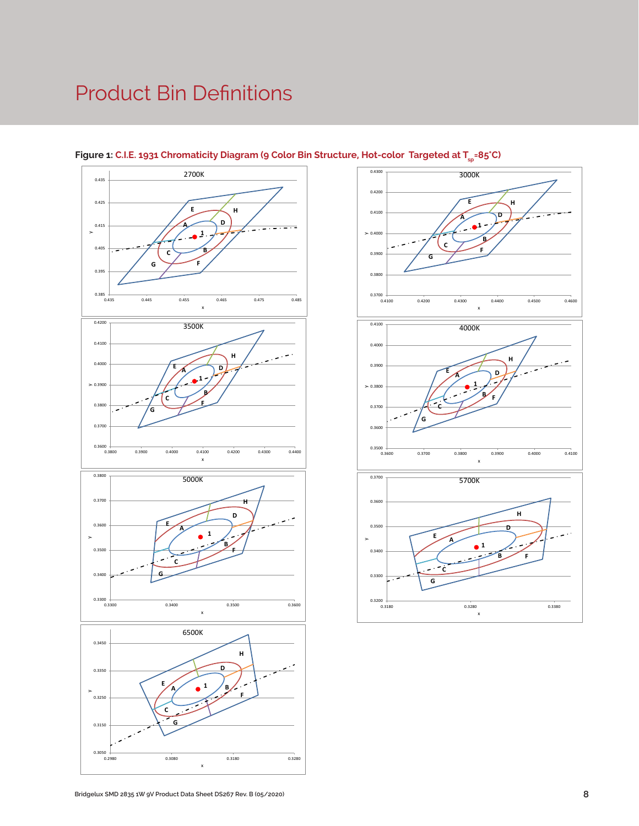# Product Bin Definitions







**C**

**G**

0.2980 0.3080 0.3180 0.3280

x

 $0.3050$   $+ 0.2980$ 

0.3150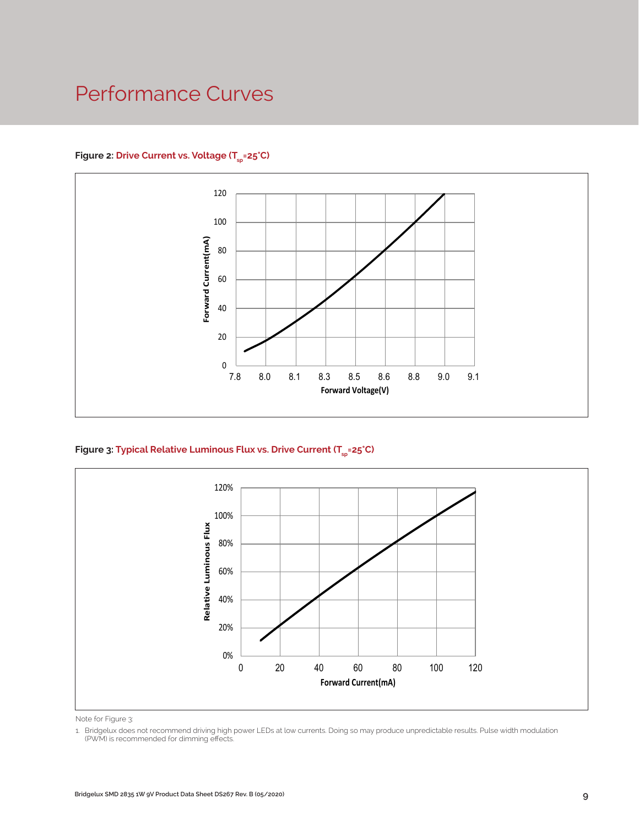### Performance Curves

#### Figure 2: Drive Current vs. Voltage (T<sub>SD</sub>=25°C)



Figure 3: Typical Relative Luminous Flux vs. Drive Current (T<sub>sp</sub>=25°C)



Note for Figure 3:

<sup>1.</sup> Bridgelux does not recommend driving high power LEDs at low currents. Doing so may produce unpredictable results. Pulse width modulation (PWM) is recommended for dimming effects.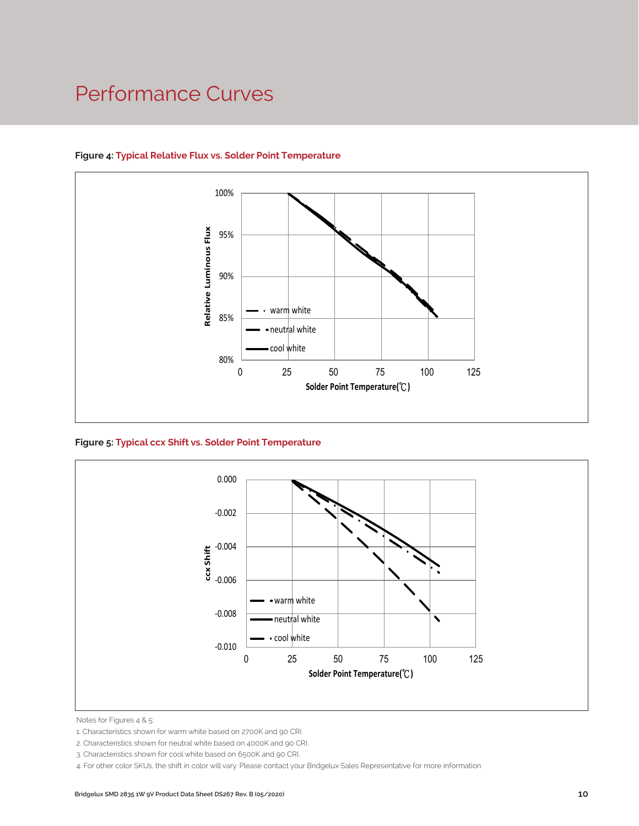### Performance Curves



#### **Figure 4: Typical Relative Flux vs. Solder Point Temperature**

**Figure 5: Typical ccx Shift vs. Solder Point Temperature**



Notes for Figures 4 & 5:

<sup>1.</sup> Characteristics shown for warm white based on 2700K and 90 CRI.

<sup>2.</sup> Characteristics shown for neutral white based on 4000K and 90 CRI.

<sup>3.</sup> Characteristics shown for cool white based on 6500K and 90 CRI.

<sup>4.</sup> For other color SKUs, the shift in color will vary. Please contact your Bridgelux Sales Representative for more information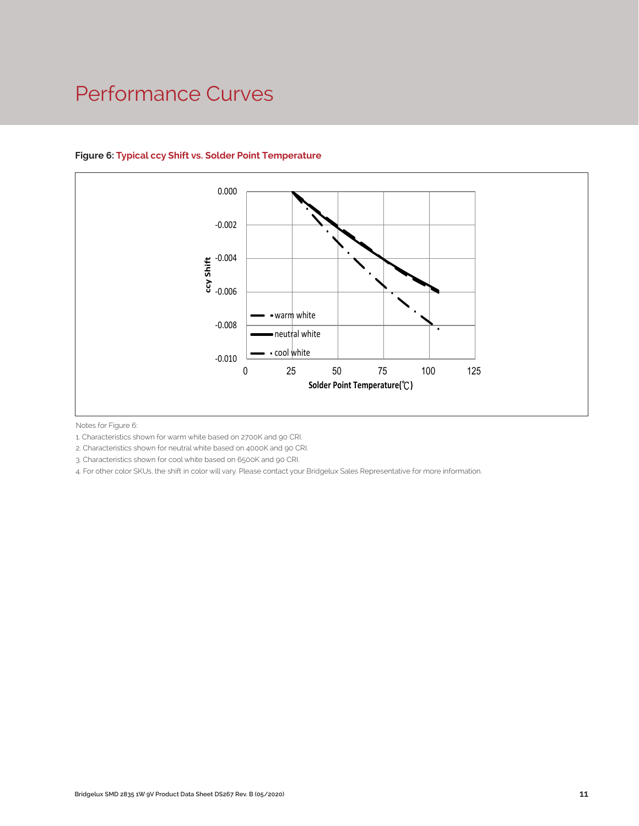### Performance Curves



#### **Figure 6: Typical ccy Shift vs. Solder Point Temperature**

Notes for Figure 6:

1. Characteristics shown for warm white based on 2700K and 90 CRI.

2. Characteristics shown for neutral white based on 4000K and 90 CRI.

3. Characteristics shown for cool white based on 6500K and 90 CRI.

4. For other color SKUs, the shift in color will vary. Please contact your Bridgelux Sales Representative for more information.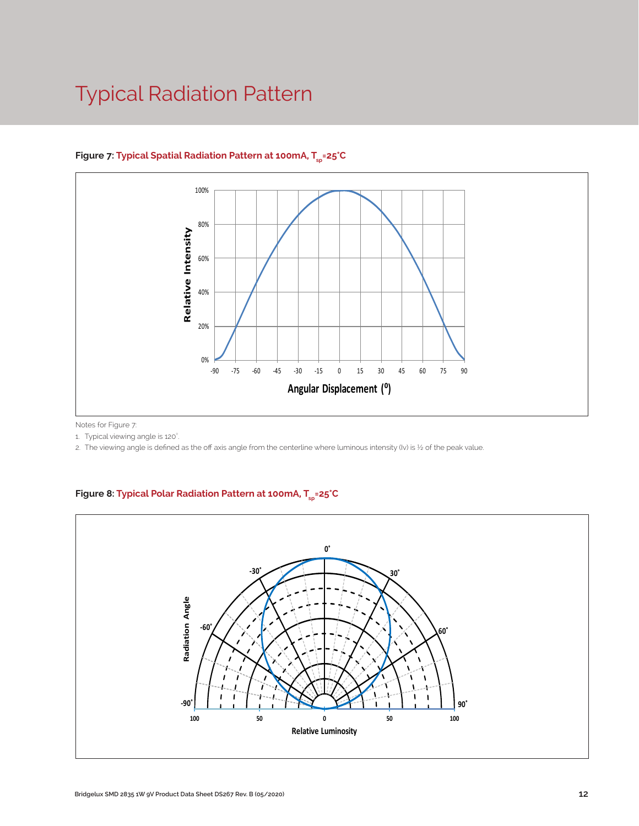# Typical Radiation Pattern



#### Figure 7: Typical Spatial Radiation Pattern at 100mA, T<sub>en</sub>=25°C

Notes for Figure 7:

1. Typical viewing angle is 120°.

2. The viewing angle is defined as the off axis angle from the centerline where luminous intensity (Iv) is ½ of the peak value.

#### Figure 8: Typical Polar Radiation Pattern at 100mA, T<sub>sp</sub>=25°C

.

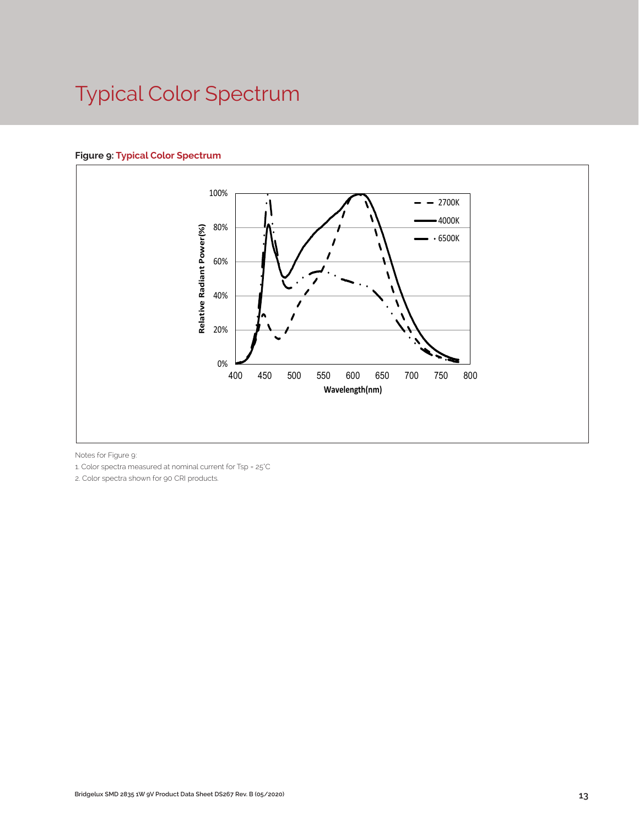# Typical Color Spectrum

#### **Figure 9: Typical Color Spectrum**



Notes for Figure 9:

1. Color spectra measured at nominal current for Tsp = 25°C

2. Color spectra shown for 90 CRI products.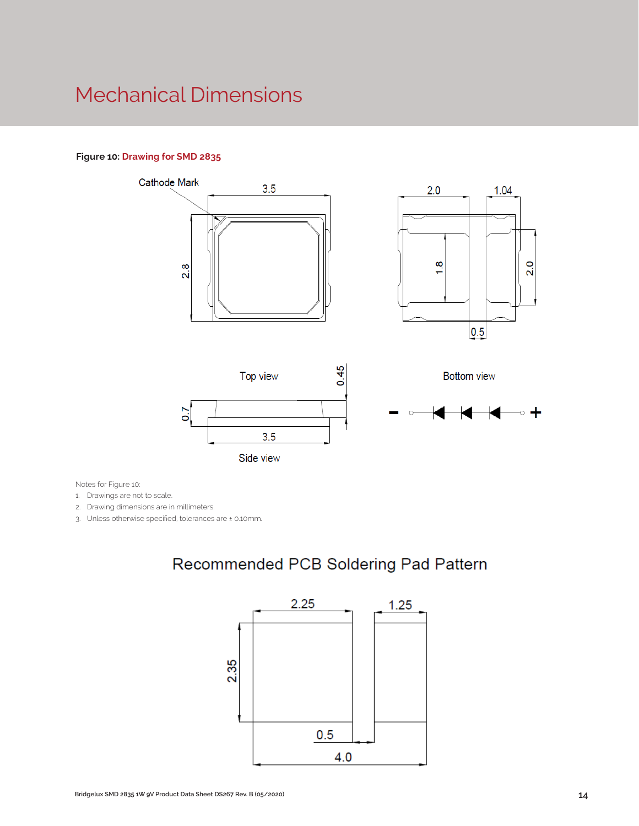### Mechanical Dimensions

#### **Figure 10: Drawing for SMD 2835**



Notes for Figure 10:

1. Drawings are not to scale.

2. Drawing dimensions are in millimeters.

3. Unless otherwise specified, tolerances are ± 0.10mm.

### Recommended PCB Soldering Pad Pattern

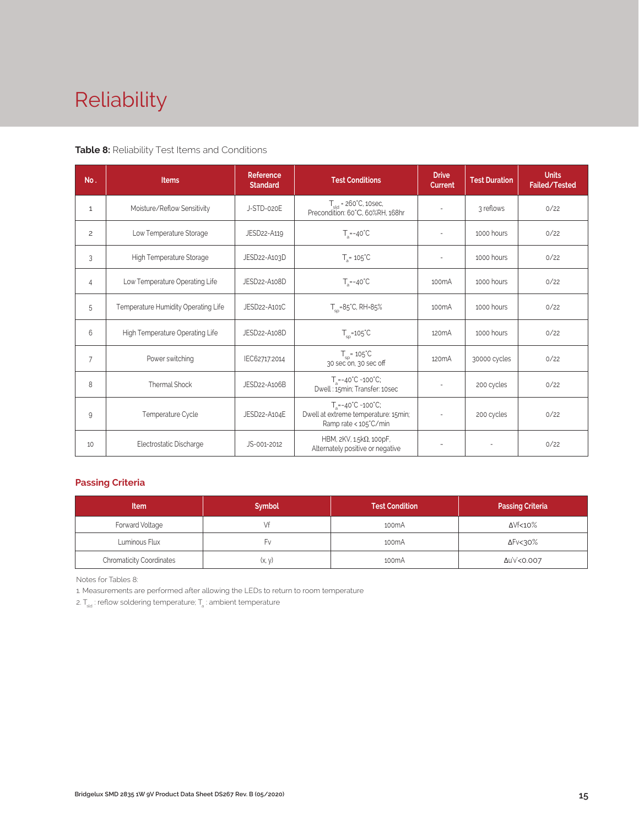# Reliability

#### **Table 8:** Reliability Test Items and Conditions

| No.            | <b>Items</b>                        | <b>Reference</b><br><b>Standard</b> | <b>Test Conditions</b>                                                                                 | <b>Drive</b><br>Current  | <b>Test Duration</b> | <b>Units</b><br>Failed/Tested |
|----------------|-------------------------------------|-------------------------------------|--------------------------------------------------------------------------------------------------------|--------------------------|----------------------|-------------------------------|
| 1              | Moisture/Reflow Sensitivity         | J-STD-020E                          | $T_{\text{cld}}$ = 260°C, 10sec,<br>Precondition: 60°C, 60%RH, 168hr                                   |                          | 3 reflows            | 0/22                          |
| $\overline{c}$ | Low Temperature Storage             | JESD22-A119                         | $T_a = -40^{\circ}C$                                                                                   | $\sim$                   | 1000 hours           | 0/22                          |
| 3              | High Temperature Storage            | JESD22-A103D                        | $T_a = 105^{\circ}C$                                                                                   |                          | 1000 hours           | 0/22                          |
| $\overline{4}$ | Low Temperature Operating Life      | JESD22-A108D                        | $T_s = -40^{\circ}C$                                                                                   | 100 <sub>m</sub> A       | 1000 hours           | 0/22                          |
| 5              | Temperature Humidity Operating Life | JESD22-A101C                        | $T_{\rm SD} = 85^{\circ}$ C, RH=85%                                                                    | 100 <sub>m</sub> A       | 1000 hours           | 0/22                          |
| 6              | High Temperature Operating Life     | JESD22-A108D                        | $T_{\rm sn}$ =105°C                                                                                    | 120 <sub>m</sub> A       | 1000 hours           | 0/22                          |
| $\overline{7}$ | Power switching                     | IEC62717:2014                       | $T_{SD} = 105^{\circ}C$<br>30 sec on, 30 sec off                                                       | 120 <sub>m</sub> A       | 30000 cycles         | 0/22                          |
| 8              | Thermal Shock                       | JESD22-A106B                        | $T_a = -40^{\circ}C - 100^{\circ}C$ ;<br>Dwell: 15min; Transfer: 10sec                                 |                          | 200 cycles           | 0/22                          |
| 9              | Temperature Cycle                   | JESD22-A104E                        | $T_a = -40^{\circ}C - 100^{\circ}C$ ;<br>Dwell at extreme temperature: 15min;<br>Ramp rate < 105°C/min |                          | 200 cycles           | 0/22                          |
| 10             | Electrostatic Discharge             | JS-001-2012                         | HBM, $2KV$ , $1.5k\Omega$ , 100pF,<br>Alternately positive or negative                                 | $\overline{\phantom{a}}$ | ÷,                   | 0/22                          |

#### **Passing Criteria**

| <b>Item</b>                     | <b>Symbol</b> | <b>Test Condition</b> | <b>Passing Criteria</b> |
|---------------------------------|---------------|-----------------------|-------------------------|
| Forward Voltage                 |               | 100 <sub>m</sub> A    | ΔVf<10%                 |
| Luminous Flux                   | ۲v            | 100 <sub>m</sub> A    | ΔFν<30%                 |
| <b>Chromaticity Coordinates</b> | (x, y)        | 100 <sub>m</sub> A    | Δu'v'<0.007             |

Notes for Tables 8:

1. Measurements are performed after allowing the LEDs to return to room temperature

2.  $\mathsf{T}_{\sf std}$  : reflow soldering temperature;  $\mathsf{T}_{\sf a}$  : ambient temperature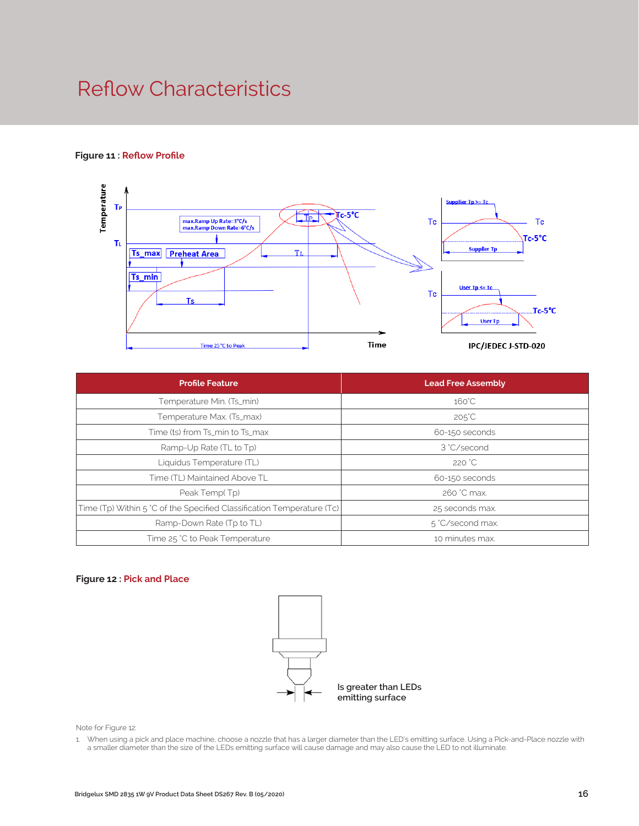## Reflow Characteristics

#### **Figure 11 : Reflow Profile**



| <b>Profile Feature</b>                                                 | <b>Lead Free Assembly</b> |
|------------------------------------------------------------------------|---------------------------|
| Temperature Min. (Ts_min)                                              | $160^{\circ}$ C           |
| Temperature Max. (Ts_max)                                              | $205^{\circ}$ C           |
| Time (ts) from Ts_min to Ts_max                                        | 60-150 seconds            |
| Ramp-Up Rate (TL to Tp)                                                | 3 °C/second               |
| Liquidus Temperature (TL)                                              | 220 °C                    |
| Time (TL) Maintained Above TL                                          | 60-150 seconds            |
| Peak Temp(Tp)                                                          | 260 °C max.               |
| Time (Tp) Within 5 °C of the Specified Classification Temperature (Tc) | 25 seconds max.           |
| Ramp-Down Rate (Tp to TL)                                              | 5 °C/second max.          |
| Time 25 °C to Peak Temperature                                         | 10 minutes max.           |

#### **Figure 12 : Pick and Place**



Note for Figure 12:

1. When using a pick and place machine, choose a nozzle that has a larger diameter than the LED's emitting surface. Using a Pick-and-Place nozzle with a smaller diameter than the size of the LEDs emitting surface will cause damage and may also cause the LED to not illuminate.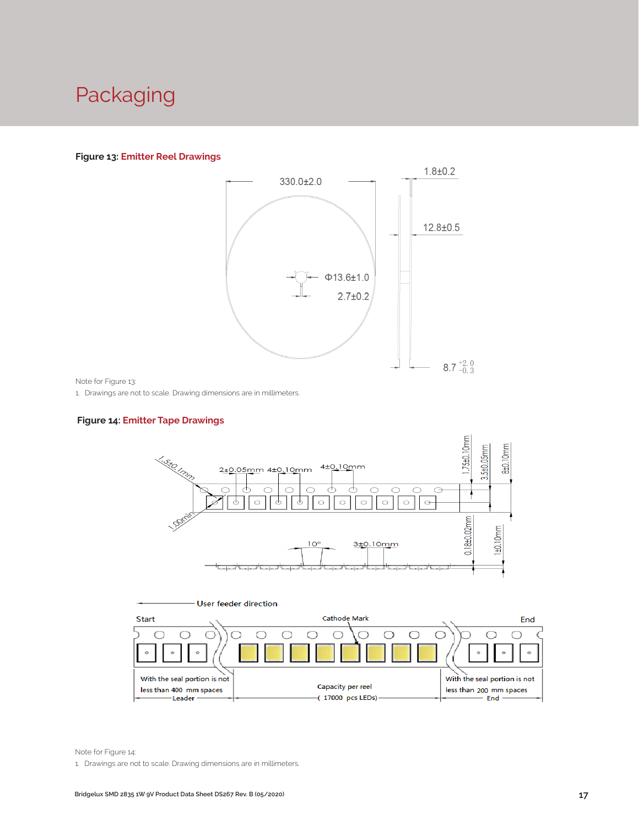## Packaging

#### **Figure 13: Emitter Reel Drawings**



Note for Figure 13:

1. Drawings are not to scale. Drawing dimensions are in millimeters.

#### **Figure 14: Emitter Tape Drawings**





Note for Figure 14:

1. Drawings are not to scale. Drawing dimensions are in millimeters.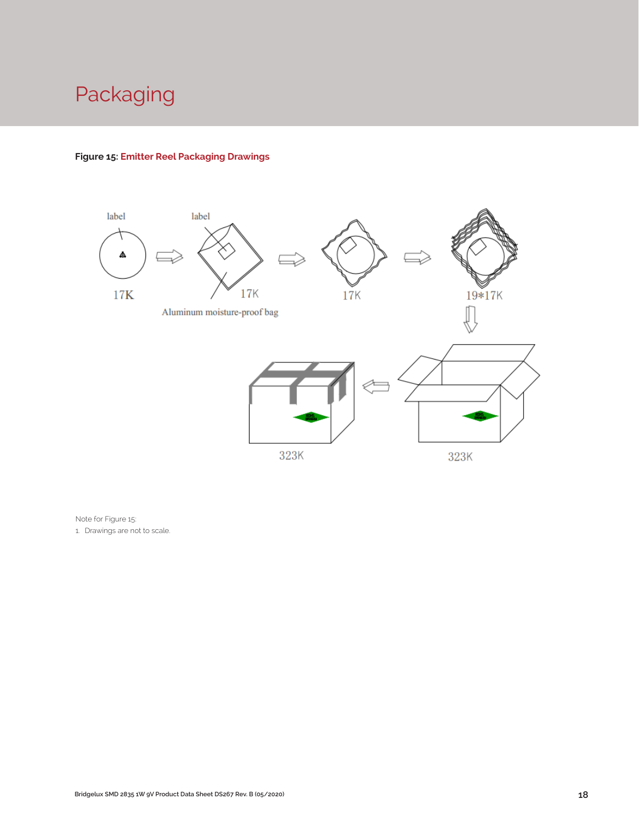# Packaging

#### **Figure 15: Emitter Reel Packaging Drawings**



Note for Figure 15: 1. Drawings are not to scale.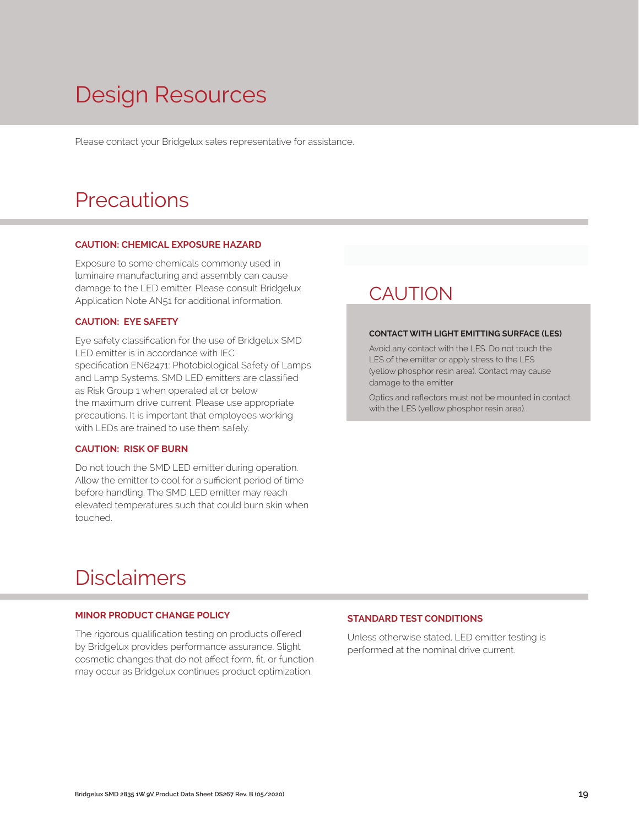# Design Resources

Please contact your Bridgelux sales representative for assistance.

### **Precautions**

#### **CAUTION: CHEMICAL EXPOSURE HAZARD**

Exposure to some chemicals commonly used in luminaire manufacturing and assembly can cause damage to the LED emitter. Please consult Bridgelux Application Note AN51 for additional information.

#### **CAUTION: EYE SAFETY**

Eye safety classification for the use of Bridgelux SMD LED emitter is in accordance with IEC specification EN62471: Photobiological Safety of Lamps and Lamp Systems. SMD LED emitters are classified as Risk Group 1 when operated at or below the maximum drive current. Please use appropriate precautions. It is important that employees working with LEDs are trained to use them safely.

#### **CAUTION: RISK OF BURN**

Do not touch the SMD LED emitter during operation. Allow the emitter to cool for a sufficient period of time before handling. The SMD LED emitter may reach elevated temperatures such that could burn skin when touched.

### **CAUTION**

#### **CONTACT WITH LIGHT EMITTING SURFACE (LES)**

Avoid any contact with the LES. Do not touch the LES of the emitter or apply stress to the LES (yellow phosphor resin area). Contact may cause damage to the emitter

Optics and reflectors must not be mounted in contact with the LES (yellow phosphor resin area).

### Disclaimers

#### **MINOR PRODUCT CHANGE POLICY**

The rigorous qualification testing on products offered by Bridgelux provides performance assurance. Slight cosmetic changes that do not affect form, fit, or function may occur as Bridgelux continues product optimization.

#### **STANDARD TEST CONDITIONS**

Unless otherwise stated, LED emitter testing is performed at the nominal drive current.